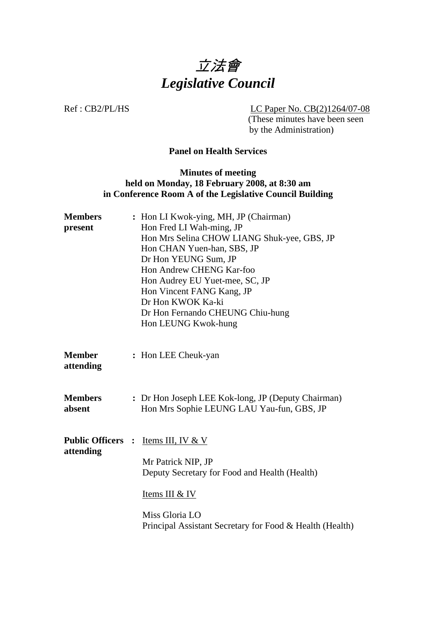

Ref : CB2/PL/HS LC Paper No. CB(2)1264/07-08

(These minutes have been seen by the Administration)

#### **Panel on Health Services**

#### **Minutes of meeting held on Monday, 18 February 2008, at 8:30 am in Conference Room A of the Legislative Council Building**

| Hon Andrew CHENG Kar-foo<br>Hon Audrey EU Yuet-mee, SC, JP<br>Hon Vincent FANG Kang, JP<br>Dr Hon KWOK Ka-ki<br>Dr Hon Fernando CHEUNG Chiu-hung<br>Hon LEUNG Kwok-hung                                                 |
|-------------------------------------------------------------------------------------------------------------------------------------------------------------------------------------------------------------------------|
| : Hon LEE Cheuk-yan                                                                                                                                                                                                     |
| : Dr Hon Joseph LEE Kok-long, JP (Deputy Chairman)<br>Hon Mrs Sophie LEUNG LAU Yau-fun, GBS, JP                                                                                                                         |
| <b>Public Officers :</b><br>Items III, IV $&\,V$<br>Mr Patrick NIP, JP<br>Deputy Secretary for Food and Health (Health)<br>Items III & IV<br>Miss Gloria LO<br>Principal Assistant Secretary for Food & Health (Health) |
|                                                                                                                                                                                                                         |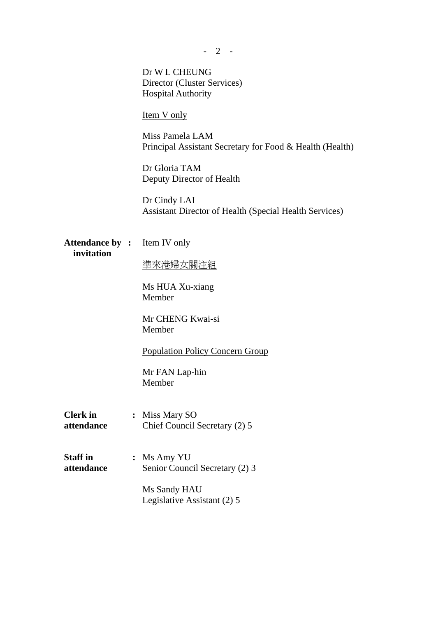|                                      | Dr W L CHEUNG<br>Director (Cluster Services)<br><b>Hospital Authority</b>   |
|--------------------------------------|-----------------------------------------------------------------------------|
|                                      | <b>Item V</b> only                                                          |
|                                      | Miss Pamela LAM<br>Principal Assistant Secretary for Food & Health (Health) |
|                                      | Dr Gloria TAM<br>Deputy Director of Health                                  |
|                                      | Dr Cindy LAI<br>Assistant Director of Health (Special Health Services)      |
| <b>Attendance by :</b><br>invitation | <b>Item IV</b> only                                                         |
|                                      | <u>準來港婦女關注組</u>                                                             |
|                                      | Ms HUA Xu-xiang<br>Member                                                   |
|                                      | Mr CHENG Kwai-si<br>Member                                                  |
|                                      | <b>Population Policy Concern Group</b>                                      |
|                                      | Mr FAN Lap-hin<br>Member                                                    |
| <b>Clerk</b> in<br>attendance        | : Miss Mary SO<br>Chief Council Secretary (2) 5                             |
| <b>Staff in</b><br>attendance        | : Ms Amy YU<br>Senior Council Secretary (2) 3                               |
|                                      | Ms Sandy HAU<br>Legislative Assistant (2) 5                                 |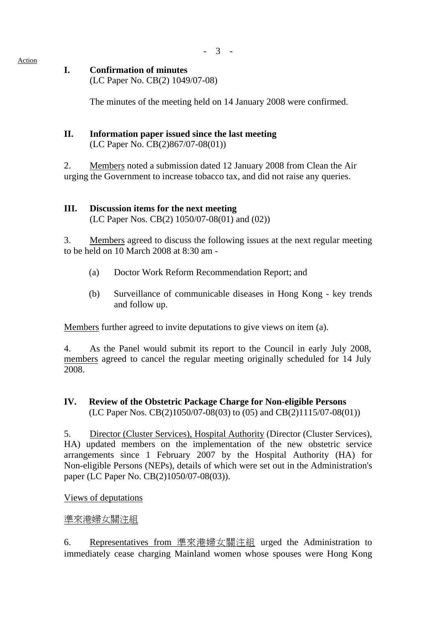- 3 -

#### Action

### **I. Confirmation of minutes**

(LC Paper No. CB(2) 1049/07-08)

The minutes of the meeting held on 14 January 2008 were confirmed.

# **II. Information paper issued since the last meeting**

(LC Paper No. CB(2)867/07-08(01))

2. Members noted a submission dated 12 January 2008 from Clean the Air urging the Government to increase tobacco tax, and did not raise any queries.

#### **III. Discussion items for the next meeting**

(LC Paper Nos. CB(2) 1050/07-08(01) and (02))

3. Members agreed to discuss the following issues at the next regular meeting to be held on 10 March 2008 at 8:30 am -

- (a) Doctor Work Reform Recommendation Report; and
- (b) Surveillance of communicable diseases in Hong Kong key trends and follow up.

Members further agreed to invite deputations to give views on item (a).

4. As the Panel would submit its report to the Council in early July 2008, members agreed to cancel the regular meeting originally scheduled for 14 July 2008.

#### **IV. Review of the Obstetric Package Charge for Non-eligible Persons**  (LC Paper Nos. CB(2)1050/07-08(03) to (05) and CB(2)1115/07-08(01))

5. Director (Cluster Services), Hospital Authority (Director (Cluster Services), HA) updated members on the implementation of the new obstetric service arrangements since 1 February 2007 by the Hospital Authority (HA) for Non-eligible Persons (NEPs), details of which were set out in the Administration's paper (LC Paper No. CB(2)1050/07-08(03)).

Views of deputations

#### 準來港婦女關注組

6. Representatives from 準來港婦女關注組 urged the Administration to immediately cease charging Mainland women whose spouses were Hong Kong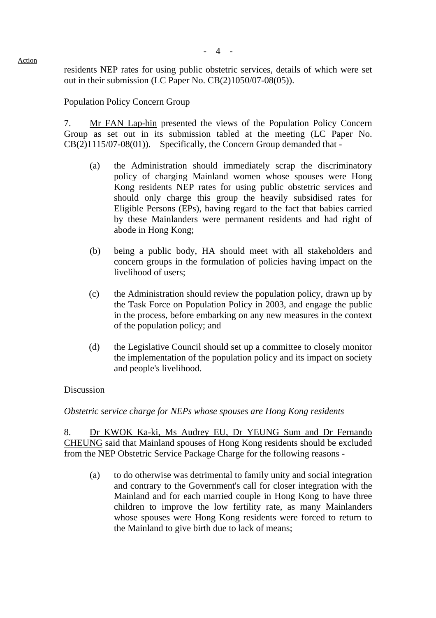- 4 -

residents NEP rates for using public obstetric services, details of which were set out in their submission (LC Paper No. CB(2)1050/07-08(05)).

#### Population Policy Concern Group

7. Mr FAN Lap-hin presented the views of the Population Policy Concern Group as set out in its submission tabled at the meeting (LC Paper No. CB(2)1115/07-08(01)). Specifically, the Concern Group demanded that -

- (a) the Administration should immediately scrap the discriminatory policy of charging Mainland women whose spouses were Hong Kong residents NEP rates for using public obstetric services and should only charge this group the heavily subsidised rates for Eligible Persons (EPs), having regard to the fact that babies carried by these Mainlanders were permanent residents and had right of abode in Hong Kong;
- (b) being a public body, HA should meet with all stakeholders and concern groups in the formulation of policies having impact on the livelihood of users;
- (c) the Administration should review the population policy, drawn up by the Task Force on Population Policy in 2003, and engage the public in the process, before embarking on any new measures in the context of the population policy; and
- (d) the Legislative Council should set up a committee to closely monitor the implementation of the population policy and its impact on society and people's livelihood.

#### Discussion

*Obstetric service charge for NEPs whose spouses are Hong Kong residents* 

8. Dr KWOK Ka-ki, Ms Audrey EU, Dr YEUNG Sum and Dr Fernando CHEUNG said that Mainland spouses of Hong Kong residents should be excluded from the NEP Obstetric Service Package Charge for the following reasons -

(a) to do otherwise was detrimental to family unity and social integration and contrary to the Government's call for closer integration with the Mainland and for each married couple in Hong Kong to have three children to improve the low fertility rate, as many Mainlanders whose spouses were Hong Kong residents were forced to return to the Mainland to give birth due to lack of means;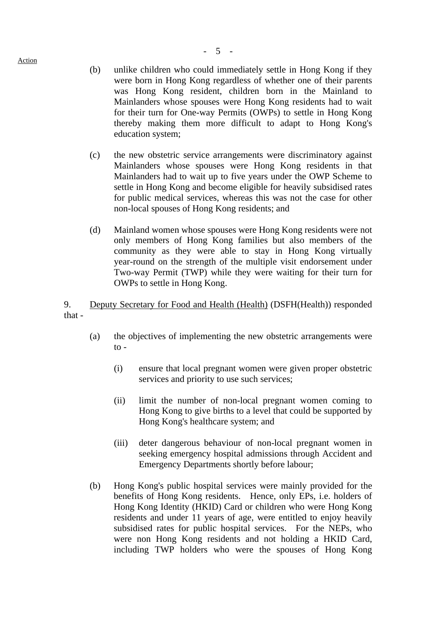- (b) unlike children who could immediately settle in Hong Kong if they were born in Hong Kong regardless of whether one of their parents was Hong Kong resident, children born in the Mainland to Mainlanders whose spouses were Hong Kong residents had to wait for their turn for One-way Permits (OWPs) to settle in Hong Kong thereby making them more difficult to adapt to Hong Kong's education system;
- (c) the new obstetric service arrangements were discriminatory against Mainlanders whose spouses were Hong Kong residents in that Mainlanders had to wait up to five years under the OWP Scheme to settle in Hong Kong and become eligible for heavily subsidised rates for public medical services, whereas this was not the case for other non-local spouses of Hong Kong residents; and
- (d) Mainland women whose spouses were Hong Kong residents were not only members of Hong Kong families but also members of the community as they were able to stay in Hong Kong virtually year-round on the strength of the multiple visit endorsement under Two-way Permit (TWP) while they were waiting for their turn for OWPs to settle in Hong Kong.

9. Deputy Secretary for Food and Health (Health) (DSFH(Health)) responded that -

- (a) the objectives of implementing the new obstetric arrangements were  $to -$ 
	- (i) ensure that local pregnant women were given proper obstetric services and priority to use such services;
	- (ii) limit the number of non-local pregnant women coming to Hong Kong to give births to a level that could be supported by Hong Kong's healthcare system; and
	- (iii) deter dangerous behaviour of non-local pregnant women in seeking emergency hospital admissions through Accident and Emergency Departments shortly before labour;
- (b) Hong Kong's public hospital services were mainly provided for the benefits of Hong Kong residents. Hence, only EPs, i.e. holders of Hong Kong Identity (HKID) Card or children who were Hong Kong residents and under 11 years of age, were entitled to enjoy heavily subsidised rates for public hospital services. For the NEPs, who were non Hong Kong residents and not holding a HKID Card, including TWP holders who were the spouses of Hong Kong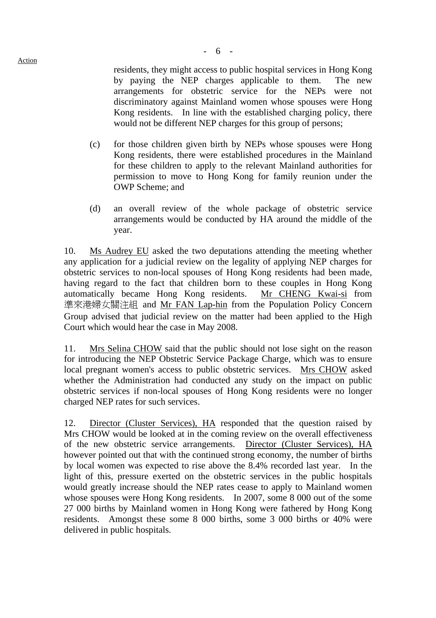residents, they might access to public hospital services in Hong Kong by paying the NEP charges applicable to them. The new arrangements for obstetric service for the NEPs were not discriminatory against Mainland women whose spouses were Hong Kong residents. In line with the established charging policy, there would not be different NEP charges for this group of persons;

- (c) for those children given birth by NEPs whose spouses were Hong Kong residents, there were established procedures in the Mainland for these children to apply to the relevant Mainland authorities for permission to move to Hong Kong for family reunion under the OWP Scheme; and
- (d) an overall review of the whole package of obstetric service arrangements would be conducted by HA around the middle of the year.

10. Ms Audrey EU asked the two deputations attending the meeting whether any application for a judicial review on the legality of applying NEP charges for obstetric services to non-local spouses of Hong Kong residents had been made, having regard to the fact that children born to these couples in Hong Kong automatically became Hong Kong residents. Mr CHENG Kwai-si from 準來港婦女關注組 and Mr FAN Lap-hin from the Population Policy Concern Group advised that judicial review on the matter had been applied to the High Court which would hear the case in May 2008.

11. Mrs Selina CHOW said that the public should not lose sight on the reason for introducing the NEP Obstetric Service Package Charge, which was to ensure local pregnant women's access to public obstetric services. Mrs CHOW asked whether the Administration had conducted any study on the impact on public obstetric services if non-local spouses of Hong Kong residents were no longer charged NEP rates for such services.

12. Director (Cluster Services), HA responded that the question raised by Mrs CHOW would be looked at in the coming review on the overall effectiveness of the new obstetric service arrangements. Director (Cluster Services), HA however pointed out that with the continued strong economy, the number of births by local women was expected to rise above the 8.4% recorded last year. In the light of this, pressure exerted on the obstetric services in the public hospitals would greatly increase should the NEP rates cease to apply to Mainland women whose spouses were Hong Kong residents. In 2007, some 8 000 out of the some 27 000 births by Mainland women in Hong Kong were fathered by Hong Kong residents. Amongst these some 8 000 births, some 3 000 births or 40% were delivered in public hospitals.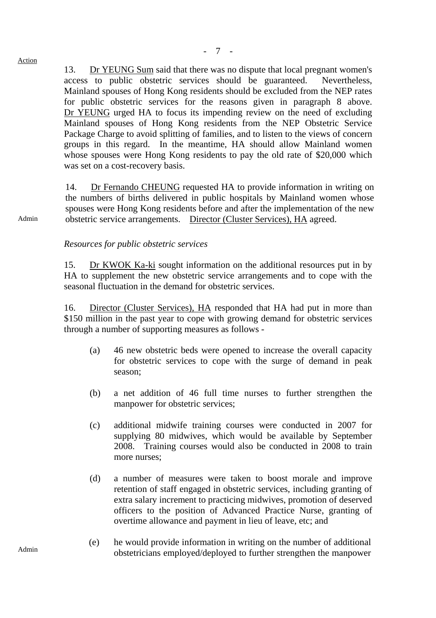13. Dr YEUNG Sum said that there was no dispute that local pregnant women's access to public obstetric services should be guaranteed. Nevertheless, Mainland spouses of Hong Kong residents should be excluded from the NEP rates for public obstetric services for the reasons given in paragraph 8 above. Dr YEUNG urged HA to focus its impending review on the need of excluding Mainland spouses of Hong Kong residents from the NEP Obstetric Service Package Charge to avoid splitting of families, and to listen to the views of concern groups in this regard. In the meantime, HA should allow Mainland women whose spouses were Hong Kong residents to pay the old rate of \$20,000 which was set on a cost-recovery basis.

14. Dr Fernando CHEUNG requested HA to provide information in writing on the numbers of births delivered in public hospitals by Mainland women whose spouses were Hong Kong residents before and after the implementation of the new obstetric service arrangements. Director (Cluster Services), HA agreed.

#### *Resources for public obstetric services*

15. Dr KWOK Ka-ki sought information on the additional resources put in by HA to supplement the new obstetric service arrangements and to cope with the seasonal fluctuation in the demand for obstetric services.

16. Director (Cluster Services), HA responded that HA had put in more than \$150 million in the past year to cope with growing demand for obstetric services through a number of supporting measures as follows -

- (a) 46 new obstetric beds were opened to increase the overall capacity for obstetric services to cope with the surge of demand in peak season;
- (b) a net addition of 46 full time nurses to further strengthen the manpower for obstetric services;
- (c) additional midwife training courses were conducted in 2007 for supplying 80 midwives, which would be available by September 2008. Training courses would also be conducted in 2008 to train more nurses;
- (d) a number of measures were taken to boost morale and improve retention of staff engaged in obstetric services, including granting of extra salary increment to practicing midwives, promotion of deserved officers to the position of Advanced Practice Nurse, granting of overtime allowance and payment in lieu of leave, etc; and
- Admin (e) he would provide information in writing on the number of additional obstetricians employed/deployed to further strengthen the manpower

Admin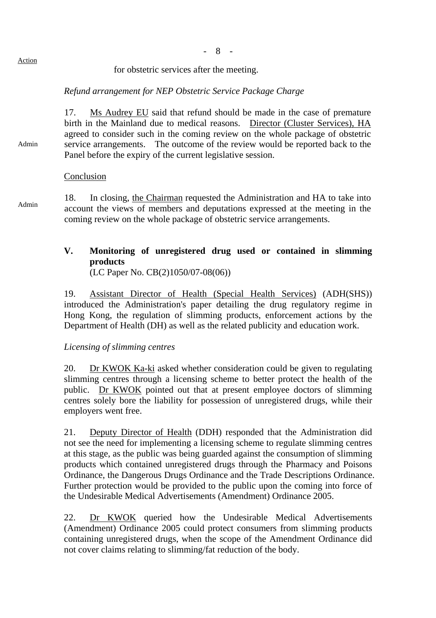#### for obstetric services after the meeting.

### *Refund arrangement for NEP Obstetric Service Package Charge*

17. Ms Audrey EU said that refund should be made in the case of premature birth in the Mainland due to medical reasons. Director (Cluster Services), HA agreed to consider such in the coming review on the whole package of obstetric service arrangements. The outcome of the review would be reported back to the Panel before the expiry of the current legislative session.

#### Conclusion

Admin

18. In closing, the Chairman requested the Administration and HA to take into Admin account the views of members and deputations expressed at the meeting in the coming review on the whole package of obstetric service arrangements.

## **V. Monitoring of unregistered drug used or contained in slimming products**

(LC Paper No. CB(2)1050/07-08(06))

19. Assistant Director of Health (Special Health Services) (ADH(SHS)) introduced the Administration's paper detailing the drug regulatory regime in Hong Kong, the regulation of slimming products, enforcement actions by the Department of Health (DH) as well as the related publicity and education work.

#### *Licensing of slimming centres*

20. Dr KWOK Ka-ki asked whether consideration could be given to regulating slimming centres through a licensing scheme to better protect the health of the public. Dr KWOK pointed out that at present employee doctors of slimming centres solely bore the liability for possession of unregistered drugs, while their employers went free.

21. Deputy Director of Health (DDH) responded that the Administration did not see the need for implementing a licensing scheme to regulate slimming centres at this stage, as the public was being guarded against the consumption of slimming products which contained unregistered drugs through the Pharmacy and Poisons Ordinance, the Dangerous Drugs Ordinance and the Trade Descriptions Ordinance. Further protection would be provided to the public upon the coming into force of the Undesirable Medical Advertisements (Amendment) Ordinance 2005.

22. Dr KWOK queried how the Undesirable Medical Advertisements (Amendment) Ordinance 2005 could protect consumers from slimming products containing unregistered drugs, when the scope of the Amendment Ordinance did not cover claims relating to slimming/fat reduction of the body.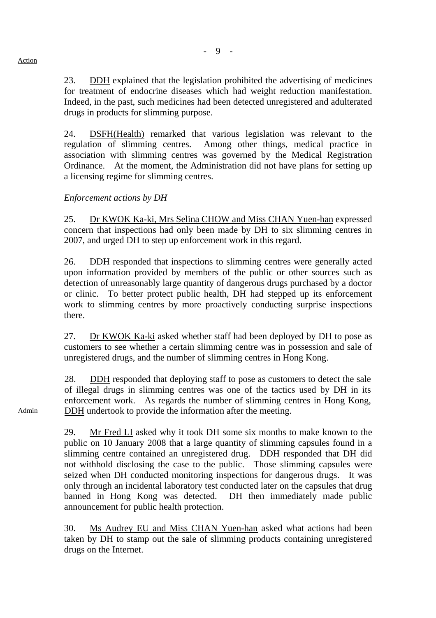24. DSFH(Health) remarked that various legislation was relevant to the regulation of slimming centres. Among other things, medical practice in association with slimming centres was governed by the Medical Registration Ordinance. At the moment, the Administration did not have plans for setting up a licensing regime for slimming centres.

## *Enforcement actions by DH*

25. Dr KWOK Ka-ki, Mrs Selina CHOW and Miss CHAN Yuen-han expressed concern that inspections had only been made by DH to six slimming centres in 2007, and urged DH to step up enforcement work in this regard.

26. DDH responded that inspections to slimming centres were generally acted upon information provided by members of the public or other sources such as detection of unreasonably large quantity of dangerous drugs purchased by a doctor or clinic. To better protect public health, DH had stepped up its enforcement work to slimming centres by more proactively conducting surprise inspections there.

27. Dr KWOK Ka-ki asked whether staff had been deployed by DH to pose as customers to see whether a certain slimming centre was in possession and sale of unregistered drugs, and the number of slimming centres in Hong Kong.

28. DDH responded that deploying staff to pose as customers to detect the sale of illegal drugs in slimming centres was one of the tactics used by DH in its enforcement work. As regards the number of slimming centres in Hong Kong, DDH undertook to provide the information after the meeting.

29. Mr Fred LI asked why it took DH some six months to make known to the public on 10 January 2008 that a large quantity of slimming capsules found in a slimming centre contained an unregistered drug. DDH responded that DH did not withhold disclosing the case to the public. Those slimming capsules were seized when DH conducted monitoring inspections for dangerous drugs. It was only through an incidental laboratory test conducted later on the capsules that drug banned in Hong Kong was detected. DH then immediately made public announcement for public health protection.

30. Ms Audrey EU and Miss CHAN Yuen-han asked what actions had been taken by DH to stamp out the sale of slimming products containing unregistered drugs on the Internet.

Admin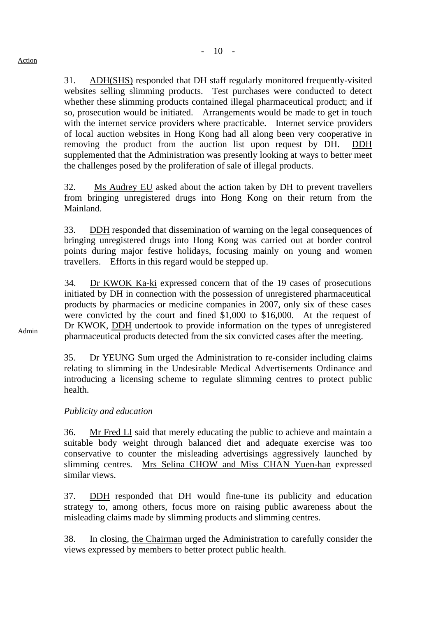31. ADH(SHS) responded that DH staff regularly monitored frequently-visited websites selling slimming products. Test purchases were conducted to detect whether these slimming products contained illegal pharmaceutical product; and if so, prosecution would be initiated. Arrangements would be made to get in touch with the internet service providers where practicable. Internet service providers of local auction websites in Hong Kong had all along been very cooperative in removing the product from the auction list upon request by DH. DDH supplemented that the Administration was presently looking at ways to better meet the challenges posed by the proliferation of sale of illegal products.

32. Ms Audrey EU asked about the action taken by DH to prevent travellers from bringing unregistered drugs into Hong Kong on their return from the Mainland.

33. DDH responded that dissemination of warning on the legal consequences of bringing unregistered drugs into Hong Kong was carried out at border control points during major festive holidays, focusing mainly on young and women travellers. Efforts in this regard would be stepped up.

34. Dr KWOK Ka-ki expressed concern that of the 19 cases of prosecutions initiated by DH in connection with the possession of unregistered pharmaceutical products by pharmacies or medicine companies in 2007, only six of these cases were convicted by the court and fined \$1,000 to \$16,000. At the request of Dr KWOK, DDH undertook to provide information on the types of unregistered pharmaceutical products detected from the six convicted cases after the meeting.

35. Dr YEUNG Sum urged the Administration to re-consider including claims relating to slimming in the Undesirable Medical Advertisements Ordinance and introducing a licensing scheme to regulate slimming centres to protect public health.

*Publicity and education* 

36. Mr Fred LI said that merely educating the public to achieve and maintain a suitable body weight through balanced diet and adequate exercise was too conservative to counter the misleading advertisings aggressively launched by slimming centres. Mrs Selina CHOW and Miss CHAN Yuen-han expressed similar views.

37. DDH responded that DH would fine-tune its publicity and education strategy to, among others, focus more on raising public awareness about the misleading claims made by slimming products and slimming centres.

38. In closing, the Chairman urged the Administration to carefully consider the views expressed by members to better protect public health.

Admin